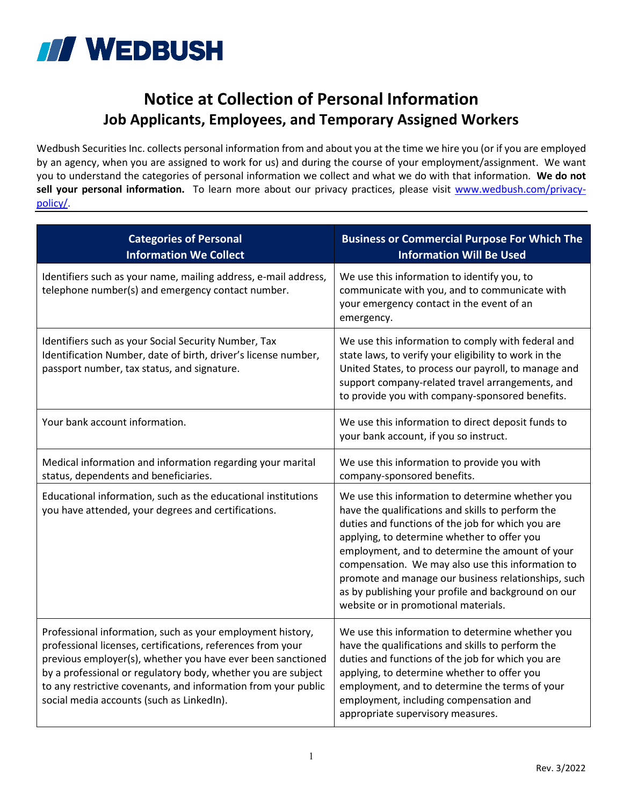

## **Notice at Collection of Personal Information Job Applicants, Employees, and Temporary Assigned Workers**

Wedbush Securities Inc. collects personal information from and about you at the time we hire you (or if you are employed by an agency, when you are assigned to work for us) and during the course of your employment/assignment. We want you to understand the categories of personal information we collect and what we do with that information. **We do not**  sell your personal information. To learn more about our privacy practices, please visit [www.wedbush.com/privacy](http://www.wedbush.com/privacy-policy/)[policy/.](http://www.wedbush.com/privacy-policy/)

| <b>Categories of Personal</b><br><b>Information We Collect</b>                                                                                                                                                                                                                                                                                                           | <b>Business or Commercial Purpose For Which The</b><br><b>Information Will Be Used</b>                                                                                                                                                                                                                                                                                                                                                                                  |
|--------------------------------------------------------------------------------------------------------------------------------------------------------------------------------------------------------------------------------------------------------------------------------------------------------------------------------------------------------------------------|-------------------------------------------------------------------------------------------------------------------------------------------------------------------------------------------------------------------------------------------------------------------------------------------------------------------------------------------------------------------------------------------------------------------------------------------------------------------------|
| Identifiers such as your name, mailing address, e-mail address,<br>telephone number(s) and emergency contact number.                                                                                                                                                                                                                                                     | We use this information to identify you, to<br>communicate with you, and to communicate with<br>your emergency contact in the event of an<br>emergency.                                                                                                                                                                                                                                                                                                                 |
| Identifiers such as your Social Security Number, Tax<br>Identification Number, date of birth, driver's license number,<br>passport number, tax status, and signature.                                                                                                                                                                                                    | We use this information to comply with federal and<br>state laws, to verify your eligibility to work in the<br>United States, to process our payroll, to manage and<br>support company-related travel arrangements, and<br>to provide you with company-sponsored benefits.                                                                                                                                                                                              |
| Your bank account information.                                                                                                                                                                                                                                                                                                                                           | We use this information to direct deposit funds to<br>your bank account, if you so instruct.                                                                                                                                                                                                                                                                                                                                                                            |
| Medical information and information regarding your marital<br>status, dependents and beneficiaries.                                                                                                                                                                                                                                                                      | We use this information to provide you with<br>company-sponsored benefits.                                                                                                                                                                                                                                                                                                                                                                                              |
| Educational information, such as the educational institutions<br>you have attended, your degrees and certifications.                                                                                                                                                                                                                                                     | We use this information to determine whether you<br>have the qualifications and skills to perform the<br>duties and functions of the job for which you are<br>applying, to determine whether to offer you<br>employment, and to determine the amount of your<br>compensation. We may also use this information to<br>promote and manage our business relationships, such<br>as by publishing your profile and background on our<br>website or in promotional materials. |
| Professional information, such as your employment history,<br>professional licenses, certifications, references from your<br>previous employer(s), whether you have ever been sanctioned<br>by a professional or regulatory body, whether you are subject<br>to any restrictive covenants, and information from your public<br>social media accounts (such as LinkedIn). | We use this information to determine whether you<br>have the qualifications and skills to perform the<br>duties and functions of the job for which you are<br>applying, to determine whether to offer you<br>employment, and to determine the terms of your<br>employment, including compensation and<br>appropriate supervisory measures.                                                                                                                              |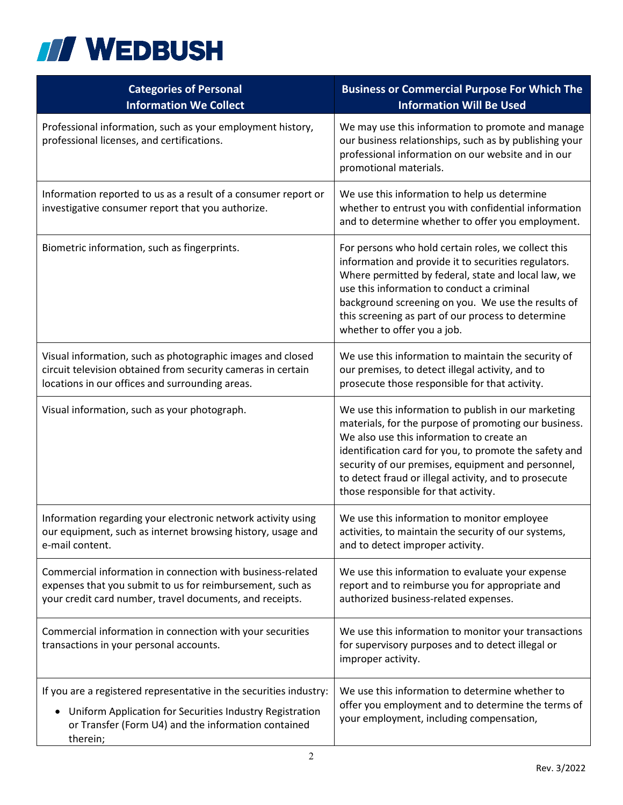

| <b>Categories of Personal</b><br><b>Information We Collect</b>                                                                                                                                                 | <b>Business or Commercial Purpose For Which The</b><br><b>Information Will Be Used</b>                                                                                                                                                                                                                                                                                     |
|----------------------------------------------------------------------------------------------------------------------------------------------------------------------------------------------------------------|----------------------------------------------------------------------------------------------------------------------------------------------------------------------------------------------------------------------------------------------------------------------------------------------------------------------------------------------------------------------------|
| Professional information, such as your employment history,<br>professional licenses, and certifications.                                                                                                       | We may use this information to promote and manage<br>our business relationships, such as by publishing your<br>professional information on our website and in our<br>promotional materials.                                                                                                                                                                                |
| Information reported to us as a result of a consumer report or<br>investigative consumer report that you authorize.                                                                                            | We use this information to help us determine<br>whether to entrust you with confidential information<br>and to determine whether to offer you employment.                                                                                                                                                                                                                  |
| Biometric information, such as fingerprints.                                                                                                                                                                   | For persons who hold certain roles, we collect this<br>information and provide it to securities regulators.<br>Where permitted by federal, state and local law, we<br>use this information to conduct a criminal<br>background screening on you. We use the results of<br>this screening as part of our process to determine<br>whether to offer you a job.                |
| Visual information, such as photographic images and closed<br>circuit television obtained from security cameras in certain<br>locations in our offices and surrounding areas.                                  | We use this information to maintain the security of<br>our premises, to detect illegal activity, and to<br>prosecute those responsible for that activity.                                                                                                                                                                                                                  |
| Visual information, such as your photograph.                                                                                                                                                                   | We use this information to publish in our marketing<br>materials, for the purpose of promoting our business.<br>We also use this information to create an<br>identification card for you, to promote the safety and<br>security of our premises, equipment and personnel,<br>to detect fraud or illegal activity, and to prosecute<br>those responsible for that activity. |
| Information regarding your electronic network activity using<br>our equipment, such as internet browsing history, usage and<br>e-mail content.                                                                 | We use this information to monitor employee<br>activities, to maintain the security of our systems,<br>and to detect improper activity.                                                                                                                                                                                                                                    |
| Commercial information in connection with business-related<br>expenses that you submit to us for reimbursement, such as<br>your credit card number, travel documents, and receipts.                            | We use this information to evaluate your expense<br>report and to reimburse you for appropriate and<br>authorized business-related expenses.                                                                                                                                                                                                                               |
| Commercial information in connection with your securities<br>transactions in your personal accounts.                                                                                                           | We use this information to monitor your transactions<br>for supervisory purposes and to detect illegal or<br>improper activity.                                                                                                                                                                                                                                            |
| If you are a registered representative in the securities industry:<br>Uniform Application for Securities Industry Registration<br>$\bullet$<br>or Transfer (Form U4) and the information contained<br>therein; | We use this information to determine whether to<br>offer you employment and to determine the terms of<br>your employment, including compensation,                                                                                                                                                                                                                          |